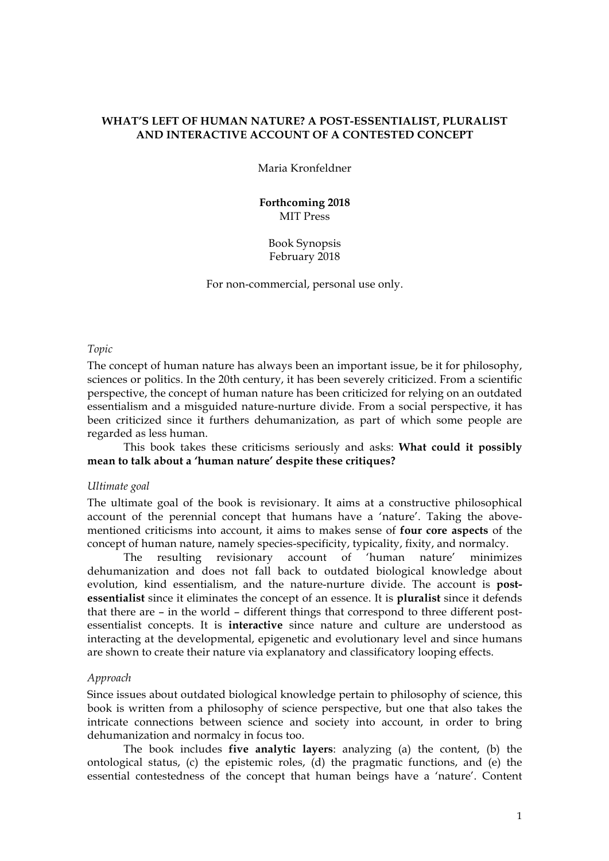# **WHAT'S LEFT OF HUMAN NATURE? A POST-ESSENTIALIST, PLURALIST AND INTERACTIVE ACCOUNT OF A CONTESTED CONCEPT**

Maria Kronfeldner

**Forthcoming 2018** MIT Press

Book Synopsis February 2018

For non-commercial, personal use only.

*Topic*

The concept of human nature has always been an important issue, be it for philosophy, sciences or politics. In the 20th century, it has been severely criticized. From a scientific perspective, the concept of human nature has been criticized for relying on an outdated essentialism and a misguided nature-nurture divide. From a social perspective, it has been criticized since it furthers dehumanization, as part of which some people are regarded as less human.

This book takes these criticisms seriously and asks: **What could it possibly mean to talk about a 'human nature' despite these critiques?**

#### *Ultimate goal*

The ultimate goal of the book is revisionary. It aims at a constructive philosophical account of the perennial concept that humans have a 'nature'. Taking the abovementioned criticisms into account, it aims to makes sense of **four core aspects** of the concept of human nature, namely species-specificity, typicality, fixity, and normalcy.

The resulting revisionary account of 'human nature' minimizes dehumanization and does not fall back to outdated biological knowledge about evolution, kind essentialism, and the nature-nurture divide. The account is **postessentialist** since it eliminates the concept of an essence. It is **pluralist** since it defends that there are – in the world – different things that correspond to three different postessentialist concepts. It is **interactive** since nature and culture are understood as interacting at the developmental, epigenetic and evolutionary level and since humans are shown to create their nature via explanatory and classificatory looping effects.

#### *Approach*

Since issues about outdated biological knowledge pertain to philosophy of science, this book is written from a philosophy of science perspective, but one that also takes the intricate connections between science and society into account, in order to bring dehumanization and normalcy in focus too.

The book includes **five analytic layers**: analyzing (a) the content, (b) the ontological status, (c) the epistemic roles, (d) the pragmatic functions, and (e) the essential contestedness of the concept that human beings have a 'nature'. Content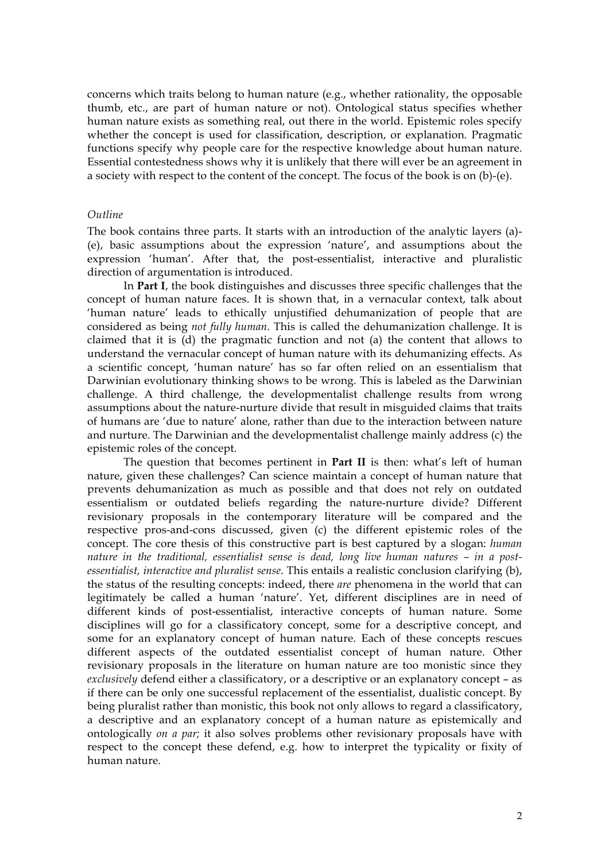concerns which traits belong to human nature (e.g., whether rationality, the opposable thumb, etc., are part of human nature or not). Ontological status specifies whether human nature exists as something real, out there in the world. Epistemic roles specify whether the concept is used for classification, description, or explanation. Pragmatic functions specify why people care for the respective knowledge about human nature. Essential contestedness shows why it is unlikely that there will ever be an agreement in a society with respect to the content of the concept. The focus of the book is on (b)-(e).

#### *Outline*

The book contains three parts. It starts with an introduction of the analytic layers (a)- (e), basic assumptions about the expression 'nature', and assumptions about the expression 'human'. After that, the post-essentialist, interactive and pluralistic direction of argumentation is introduced.

In **Part I**, the book distinguishes and discusses three specific challenges that the concept of human nature faces. It is shown that, in a vernacular context, talk about 'human nature' leads to ethically unjustified dehumanization of people that are considered as being *not fully human*. This is called the dehumanization challenge. It is claimed that it is (d) the pragmatic function and not (a) the content that allows to understand the vernacular concept of human nature with its dehumanizing effects. As a scientific concept, 'human nature' has so far often relied on an essentialism that Darwinian evolutionary thinking shows to be wrong. This is labeled as the Darwinian challenge. A third challenge, the developmentalist challenge results from wrong assumptions about the nature-nurture divide that result in misguided claims that traits of humans are 'due to nature' alone, rather than due to the interaction between nature and nurture. The Darwinian and the developmentalist challenge mainly address (c) the epistemic roles of the concept.

The question that becomes pertinent in **Part II** is then: what's left of human nature, given these challenges? Can science maintain a concept of human nature that prevents dehumanization as much as possible and that does not rely on outdated essentialism or outdated beliefs regarding the nature-nurture divide? Different revisionary proposals in the contemporary literature will be compared and the respective pros-and-cons discussed, given (c) the different epistemic roles of the concept. The core thesis of this constructive part is best captured by a slogan: *human nature in the traditional, essentialist sense is dead, long live human natures – in a postessentialist, interactive and pluralist sense*. This entails a realistic conclusion clarifying (b), the status of the resulting concepts: indeed, there *are* phenomena in the world that can legitimately be called a human 'nature'. Yet, different disciplines are in need of different kinds of post-essentialist, interactive concepts of human nature. Some disciplines will go for a classificatory concept, some for a descriptive concept, and some for an explanatory concept of human nature. Each of these concepts rescues different aspects of the outdated essentialist concept of human nature. Other revisionary proposals in the literature on human nature are too monistic since they *exclusively* defend either a classificatory, or a descriptive or an explanatory concept – as if there can be only one successful replacement of the essentialist, dualistic concept. By being pluralist rather than monistic, this book not only allows to regard a classificatory, a descriptive and an explanatory concept of a human nature as epistemically and ontologically *on a par;* it also solves problems other revisionary proposals have with respect to the concept these defend, e.g. how to interpret the typicality or fixity of human nature.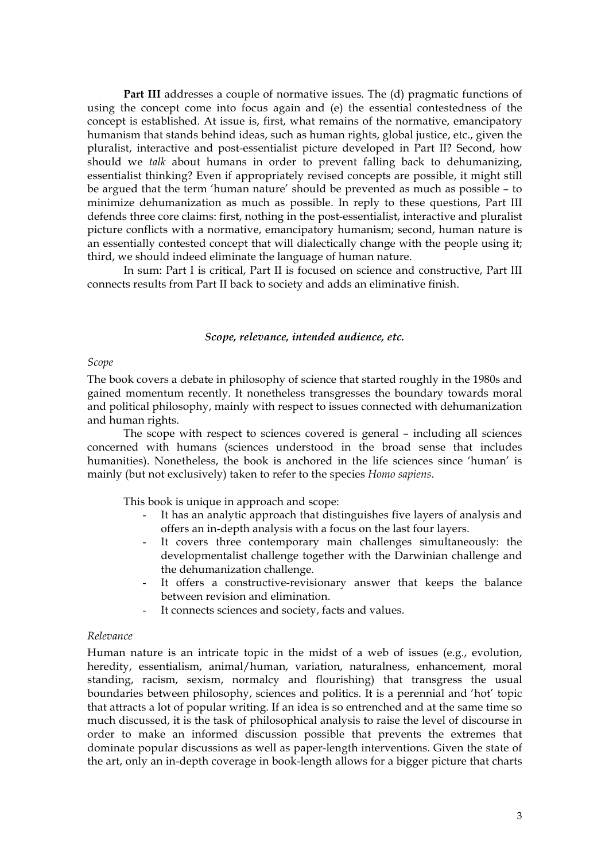**Part III** addresses a couple of normative issues. The (d) pragmatic functions of using the concept come into focus again and (e) the essential contestedness of the concept is established. At issue is, first, what remains of the normative, emancipatory humanism that stands behind ideas, such as human rights, global justice, etc., given the pluralist, interactive and post-essentialist picture developed in Part II? Second, how should we *talk* about humans in order to prevent falling back to dehumanizing, essentialist thinking? Even if appropriately revised concepts are possible, it might still be argued that the term 'human nature' should be prevented as much as possible – to minimize dehumanization as much as possible. In reply to these questions, Part III defends three core claims: first, nothing in the post-essentialist, interactive and pluralist picture conflicts with a normative, emancipatory humanism; second, human nature is an essentially contested concept that will dialectically change with the people using it; third, we should indeed eliminate the language of human nature.

In sum: Part I is critical, Part II is focused on science and constructive, Part III connects results from Part II back to society and adds an eliminative finish.

#### *Scope, relevance, intended audience, etc.*

### *Scope*

The book covers a debate in philosophy of science that started roughly in the 1980s and gained momentum recently. It nonetheless transgresses the boundary towards moral and political philosophy, mainly with respect to issues connected with dehumanization and human rights.

The scope with respect to sciences covered is general – including all sciences concerned with humans (sciences understood in the broad sense that includes humanities). Nonetheless, the book is anchored in the life sciences since 'human' is mainly (but not exclusively) taken to refer to the species *Homo sapiens*.

This book is unique in approach and scope:

- It has an analytic approach that distinguishes five layers of analysis and offers an in-depth analysis with a focus on the last four layers.
- It covers three contemporary main challenges simultaneously: the developmentalist challenge together with the Darwinian challenge and the dehumanization challenge.
- It offers a constructive-revisionary answer that keeps the balance between revision and elimination.
- It connects sciences and society, facts and values.

### *Relevance*

Human nature is an intricate topic in the midst of a web of issues (e.g., evolution, heredity, essentialism, animal/human, variation, naturalness, enhancement, moral standing, racism, sexism, normalcy and flourishing) that transgress the usual boundaries between philosophy, sciences and politics. It is a perennial and 'hot' topic that attracts a lot of popular writing. If an idea is so entrenched and at the same time so much discussed, it is the task of philosophical analysis to raise the level of discourse in order to make an informed discussion possible that prevents the extremes that dominate popular discussions as well as paper-length interventions. Given the state of the art, only an in-depth coverage in book-length allows for a bigger picture that charts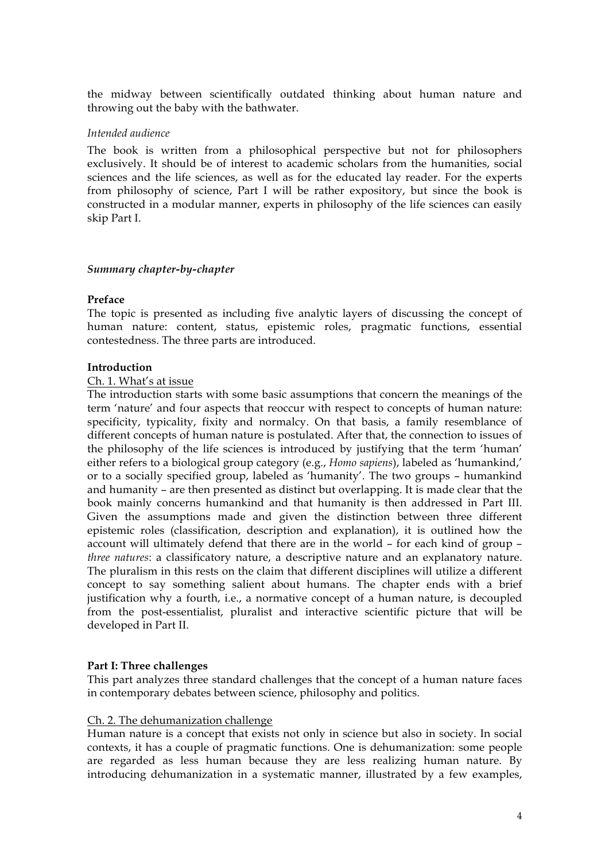the midway between scientifically outdated thinking about human nature and throwing out the baby with the bathwater.

### *Intended audience*

The book is written from a philosophical perspective but not for philosophers exclusively. It should be of interest to academic scholars from the humanities, social sciences and the life sciences, as well as for the educated lay reader. For the experts from philosophy of science, Part I will be rather expository, but since the book is constructed in a modular manner, experts in philosophy of the life sciences can easily skip Part I.

# *Summary chapter-by-chapter*

# **Preface**

The topic is presented as including five analytic layers of discussing the concept of human nature: content, status, epistemic roles, pragmatic functions, essential contestedness. The three parts are introduced.

# **Introduction**

# Ch. 1. What's at issue

The introduction starts with some basic assumptions that concern the meanings of the term 'nature' and four aspects that reoccur with respect to concepts of human nature: specificity, typicality, fixity and normalcy. On that basis, a family resemblance of different concepts of human nature is postulated. After that, the connection to issues of the philosophy of the life sciences is introduced by justifying that the term 'human' either refers to a biological group category (e.g., *Homo sapiens*), labeled as 'humankind,' or to a socially specified group, labeled as 'humanity'. The two groups – humankind and humanity – are then presented as distinct but overlapping. It is made clear that the book mainly concerns humankind and that humanity is then addressed in Part III. Given the assumptions made and given the distinction between three different epistemic roles (classification, description and explanation), it is outlined how the account will ultimately defend that there are in the world – for each kind of group – *three natures*: a classificatory nature, a descriptive nature and an explanatory nature. The pluralism in this rests on the claim that different disciplines will utilize a different concept to say something salient about humans. The chapter ends with a brief justification why a fourth, i.e., a normative concept of a human nature, is decoupled from the post-essentialist, pluralist and interactive scientific picture that will be developed in Part II.

### **Part I: Three challenges**

This part analyzes three standard challenges that the concept of a human nature faces in contemporary debates between science, philosophy and politics.

### Ch. 2. The dehumanization challenge

Human nature is a concept that exists not only in science but also in society. In social contexts, it has a couple of pragmatic functions. One is dehumanization: some people are regarded as less human because they are less realizing human nature. By introducing dehumanization in a systematic manner, illustrated by a few examples,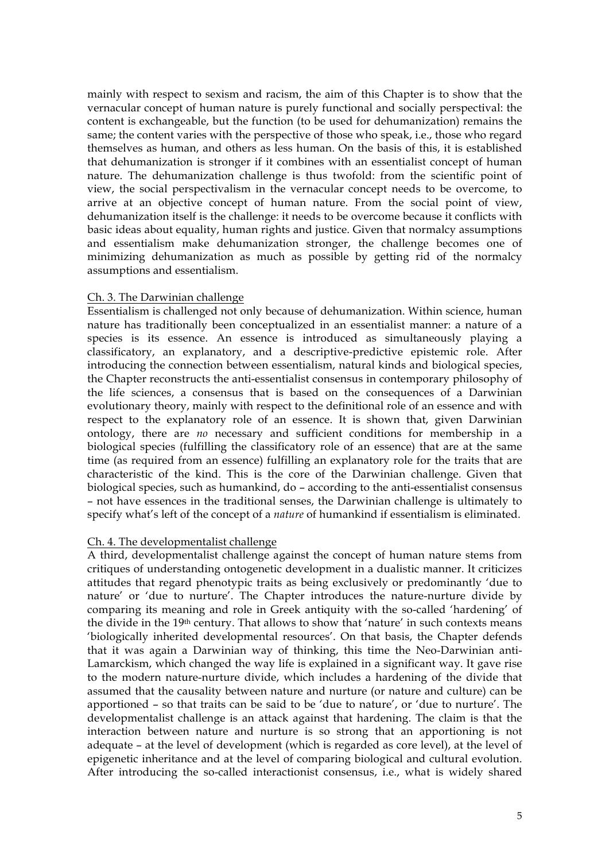mainly with respect to sexism and racism, the aim of this Chapter is to show that the vernacular concept of human nature is purely functional and socially perspectival: the content is exchangeable, but the function (to be used for dehumanization) remains the same; the content varies with the perspective of those who speak, i.e., those who regard themselves as human, and others as less human. On the basis of this, it is established that dehumanization is stronger if it combines with an essentialist concept of human nature. The dehumanization challenge is thus twofold: from the scientific point of view, the social perspectivalism in the vernacular concept needs to be overcome, to arrive at an objective concept of human nature. From the social point of view, dehumanization itself is the challenge: it needs to be overcome because it conflicts with basic ideas about equality, human rights and justice. Given that normalcy assumptions and essentialism make dehumanization stronger, the challenge becomes one of minimizing dehumanization as much as possible by getting rid of the normalcy assumptions and essentialism.

# Ch. 3. The Darwinian challenge

Essentialism is challenged not only because of dehumanization. Within science, human nature has traditionally been conceptualized in an essentialist manner: a nature of a species is its essence. An essence is introduced as simultaneously playing a classificatory, an explanatory, and a descriptive-predictive epistemic role. After introducing the connection between essentialism, natural kinds and biological species, the Chapter reconstructs the anti-essentialist consensus in contemporary philosophy of the life sciences, a consensus that is based on the consequences of a Darwinian evolutionary theory, mainly with respect to the definitional role of an essence and with respect to the explanatory role of an essence. It is shown that, given Darwinian ontology, there are *no* necessary and sufficient conditions for membership in a biological species (fulfilling the classificatory role of an essence) that are at the same time (as required from an essence) fulfilling an explanatory role for the traits that are characteristic of the kind. This is the core of the Darwinian challenge. Given that biological species, such as humankind, do – according to the anti-essentialist consensus – not have essences in the traditional senses, the Darwinian challenge is ultimately to specify what's left of the concept of a *nature* of humankind if essentialism is eliminated.

# Ch. 4. The developmentalist challenge

A third, developmentalist challenge against the concept of human nature stems from critiques of understanding ontogenetic development in a dualistic manner. It criticizes attitudes that regard phenotypic traits as being exclusively or predominantly 'due to nature' or 'due to nurture'. The Chapter introduces the nature-nurture divide by comparing its meaning and role in Greek antiquity with the so-called 'hardening' of the divide in the 19th century. That allows to show that 'nature' in such contexts means 'biologically inherited developmental resources'. On that basis, the Chapter defends that it was again a Darwinian way of thinking, this time the Neo-Darwinian anti-Lamarckism, which changed the way life is explained in a significant way. It gave rise to the modern nature-nurture divide, which includes a hardening of the divide that assumed that the causality between nature and nurture (or nature and culture) can be apportioned – so that traits can be said to be 'due to nature', or 'due to nurture'. The developmentalist challenge is an attack against that hardening. The claim is that the interaction between nature and nurture is so strong that an apportioning is not adequate – at the level of development (which is regarded as core level), at the level of epigenetic inheritance and at the level of comparing biological and cultural evolution. After introducing the so-called interactionist consensus, i.e., what is widely shared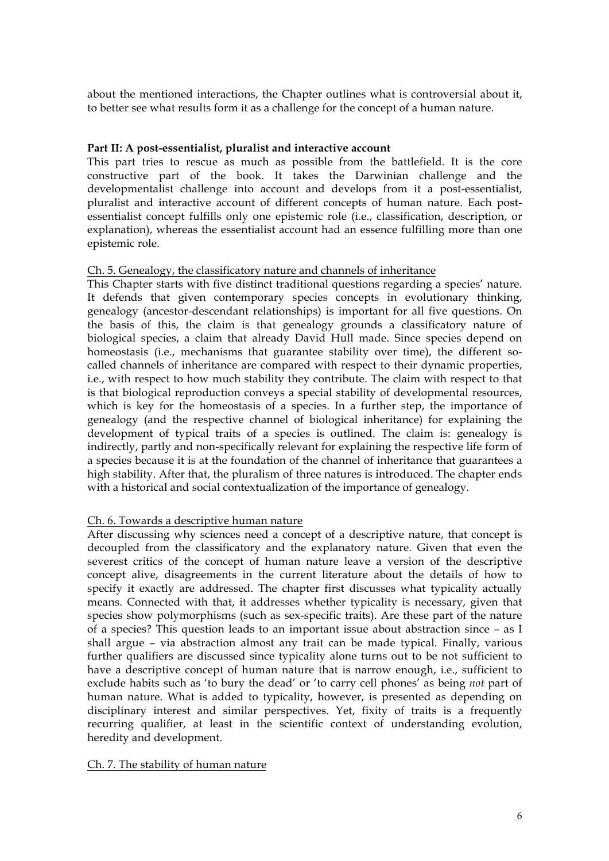about the mentioned interactions, the Chapter outlines what is controversial about it, to better see what results form it as a challenge for the concept of a human nature.

# **Part II: A post-essentialist, pluralist and interactive account**

This part tries to rescue as much as possible from the battlefield. It is the core constructive part of the book. It takes the Darwinian challenge and the developmentalist challenge into account and develops from it a post-essentialist, pluralist and interactive account of different concepts of human nature. Each postessentialist concept fulfills only one epistemic role (i.e., classification, description, or explanation), whereas the essentialist account had an essence fulfilling more than one epistemic role.

# Ch. 5. Genealogy, the classificatory nature and channels of inheritance

This Chapter starts with five distinct traditional questions regarding a species' nature. It defends that given contemporary species concepts in evolutionary thinking, genealogy (ancestor-descendant relationships) is important for all five questions. On the basis of this, the claim is that genealogy grounds a classificatory nature of biological species, a claim that already David Hull made. Since species depend on homeostasis (i.e., mechanisms that guarantee stability over time), the different socalled channels of inheritance are compared with respect to their dynamic properties, i.e., with respect to how much stability they contribute. The claim with respect to that is that biological reproduction conveys a special stability of developmental resources, which is key for the homeostasis of a species. In a further step, the importance of genealogy (and the respective channel of biological inheritance) for explaining the development of typical traits of a species is outlined. The claim is: genealogy is indirectly, partly and non-specifically relevant for explaining the respective life form of a species because it is at the foundation of the channel of inheritance that guarantees a high stability. After that, the pluralism of three natures is introduced. The chapter ends with a historical and social contextualization of the importance of genealogy.

# Ch. 6. Towards a descriptive human nature

After discussing why sciences need a concept of a descriptive nature, that concept is decoupled from the classificatory and the explanatory nature. Given that even the severest critics of the concept of human nature leave a version of the descriptive concept alive, disagreements in the current literature about the details of how to specify it exactly are addressed. The chapter first discusses what typicality actually means. Connected with that, it addresses whether typicality is necessary, given that species show polymorphisms (such as sex-specific traits). Are these part of the nature of a species? This question leads to an important issue about abstraction since – as I shall argue – via abstraction almost any trait can be made typical. Finally, various further qualifiers are discussed since typicality alone turns out to be not sufficient to have a descriptive concept of human nature that is narrow enough, i.e., sufficient to exclude habits such as 'to bury the dead' or 'to carry cell phones' as being *not* part of human nature. What is added to typicality, however, is presented as depending on disciplinary interest and similar perspectives. Yet, fixity of traits is a frequently recurring qualifier, at least in the scientific context of understanding evolution, heredity and development.

### Ch. 7. The stability of human nature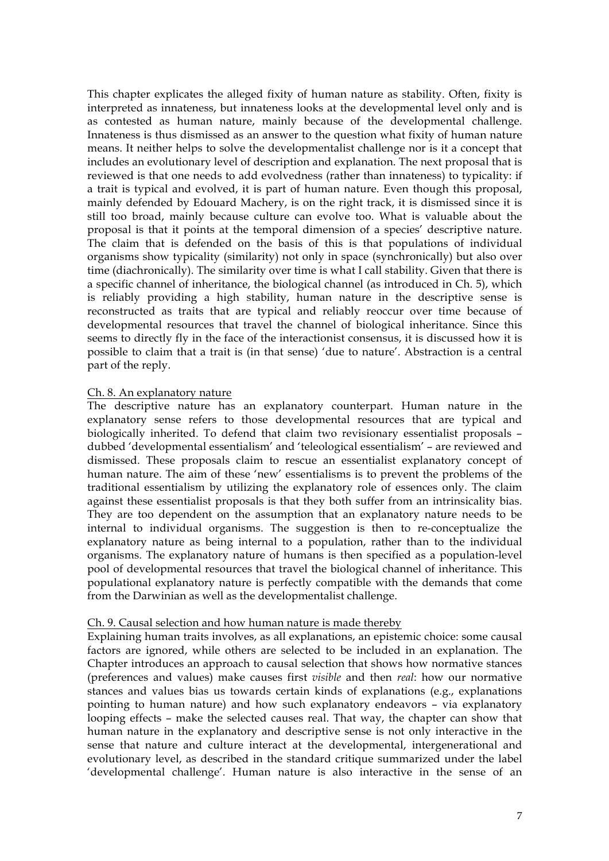This chapter explicates the alleged fixity of human nature as stability. Often, fixity is interpreted as innateness, but innateness looks at the developmental level only and is as contested as human nature, mainly because of the developmental challenge. Innateness is thus dismissed as an answer to the question what fixity of human nature means. It neither helps to solve the developmentalist challenge nor is it a concept that includes an evolutionary level of description and explanation. The next proposal that is reviewed is that one needs to add evolvedness (rather than innateness) to typicality: if a trait is typical and evolved, it is part of human nature. Even though this proposal, mainly defended by Edouard Machery, is on the right track, it is dismissed since it is still too broad, mainly because culture can evolve too. What is valuable about the proposal is that it points at the temporal dimension of a species' descriptive nature. The claim that is defended on the basis of this is that populations of individual organisms show typicality (similarity) not only in space (synchronically) but also over time (diachronically). The similarity over time is what I call stability. Given that there is a specific channel of inheritance, the biological channel (as introduced in Ch. 5), which is reliably providing a high stability, human nature in the descriptive sense is reconstructed as traits that are typical and reliably reoccur over time because of developmental resources that travel the channel of biological inheritance. Since this seems to directly fly in the face of the interactionist consensus, it is discussed how it is possible to claim that a trait is (in that sense) 'due to nature'. Abstraction is a central part of the reply.

# Ch. 8. An explanatory nature

The descriptive nature has an explanatory counterpart. Human nature in the explanatory sense refers to those developmental resources that are typical and biologically inherited. To defend that claim two revisionary essentialist proposals – dubbed 'developmental essentialism' and 'teleological essentialism' – are reviewed and dismissed. These proposals claim to rescue an essentialist explanatory concept of human nature. The aim of these 'new' essentialisms is to prevent the problems of the traditional essentialism by utilizing the explanatory role of essences only. The claim against these essentialist proposals is that they both suffer from an intrinsicality bias. They are too dependent on the assumption that an explanatory nature needs to be internal to individual organisms. The suggestion is then to re-conceptualize the explanatory nature as being internal to a population, rather than to the individual organisms. The explanatory nature of humans is then specified as a population-level pool of developmental resources that travel the biological channel of inheritance. This populational explanatory nature is perfectly compatible with the demands that come from the Darwinian as well as the developmentalist challenge.

### Ch. 9. Causal selection and how human nature is made thereby

Explaining human traits involves, as all explanations, an epistemic choice: some causal factors are ignored, while others are selected to be included in an explanation. The Chapter introduces an approach to causal selection that shows how normative stances (preferences and values) make causes first *visible* and then *real*: how our normative stances and values bias us towards certain kinds of explanations (e.g., explanations pointing to human nature) and how such explanatory endeavors – via explanatory looping effects – make the selected causes real. That way, the chapter can show that human nature in the explanatory and descriptive sense is not only interactive in the sense that nature and culture interact at the developmental, intergenerational and evolutionary level, as described in the standard critique summarized under the label 'developmental challenge'. Human nature is also interactive in the sense of an